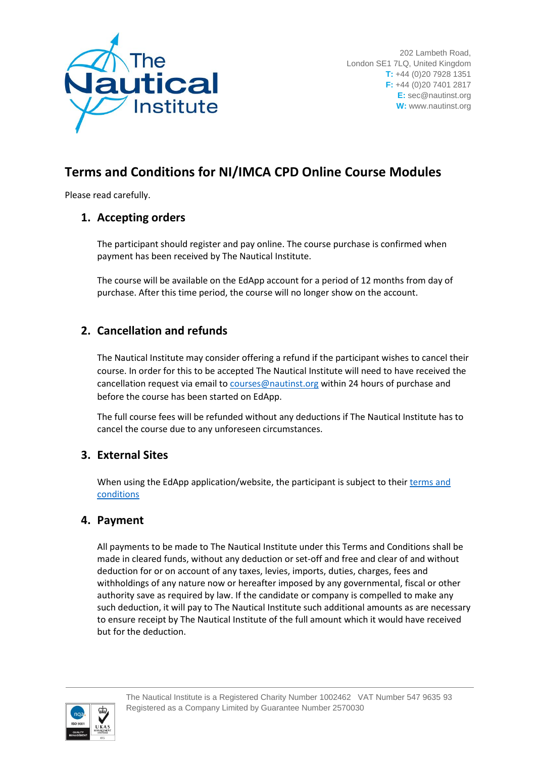

# **Terms and Conditions for NI/IMCA CPD Online Course Modules**

Please read carefully.

### **1. Accepting orders**

The participant should register and pay online. The course purchase is confirmed when payment has been received by The Nautical Institute.

The course will be available on the EdApp account for a period of 12 months from day of purchase. After this time period, the course will no longer show on the account.

# **2. Cancellation and refunds**

The Nautical Institute may consider offering a refund if the participant wishes to cancel their course. In order for this to be accepted The Nautical Institute will need to have received the cancellation request via email t[o courses@nautinst.org](mailto:courses@nautinst.org) within 24 hours of purchase and before the course has been started on EdApp.

The full course fees will be refunded without any deductions if The Nautical Institute has to cancel the course due to any unforeseen circumstances.

#### **3. External Sites**

When using the EdApp application/website, the participant is subject to their terms and [conditions](https://www.edapp.com/terms/)

#### **4. Payment**

All payments to be made to The Nautical Institute under this Terms and Conditions shall be made in cleared funds, without any deduction or set-off and free and clear of and without deduction for or on account of any taxes, levies, imports, duties, charges, fees and withholdings of any nature now or hereafter imposed by any governmental, fiscal or other authority save as required by law. If the candidate or company is compelled to make any such deduction, it will pay to The Nautical Institute such additional amounts as are necessary to ensure receipt by The Nautical Institute of the full amount which it would have received but for the deduction.